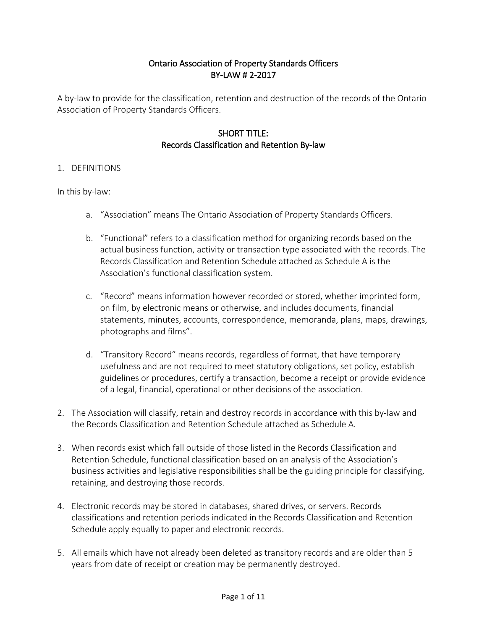#### Ontario Association of Property Standards Officers BY-LAW # 2-2017

A by-law to provide for the classification, retention and destruction of the records of the Ontario Association of Property Standards Officers.

#### SHORT TITLE: Records Classification and Retention By-law

#### 1. DEFINITIONS

In this by-law:

- a. "Association" means The Ontario Association of Property Standards Officers.
- b. "Functional" refers to a classification method for organizing records based on the actual business function, activity or transaction type associated with the records. The Records Classification and Retention Schedule attached as Schedule A is the Association's functional classification system.
- c. "Record" means information however recorded or stored, whether imprinted form, on film, by electronic means or otherwise, and includes documents, financial statements, minutes, accounts, correspondence, memoranda, plans, maps, drawings, photographs and films".
- d. "Transitory Record" means records, regardless of format, that have temporary usefulness and are not required to meet statutory obligations, set policy, establish guidelines or procedures, certify a transaction, become a receipt or provide evidence of a legal, financial, operational or other decisions of the association.
- 2. The Association will classify, retain and destroy records in accordance with this by-law and the Records Classification and Retention Schedule attached as Schedule A.
- 3. When records exist which fall outside of those listed in the Records Classification and Retention Schedule, functional classification based on an analysis of the Association's business activities and legislative responsibilities shall be the guiding principle for classifying, retaining, and destroying those records.
- 4. Electronic records may be stored in databases, shared drives, or servers. Records classifications and retention periods indicated in the Records Classification and Retention Schedule apply equally to paper and electronic records.
- 5. All emails which have not already been deleted as transitory records and are older than 5 years from date of receipt or creation may be permanently destroyed.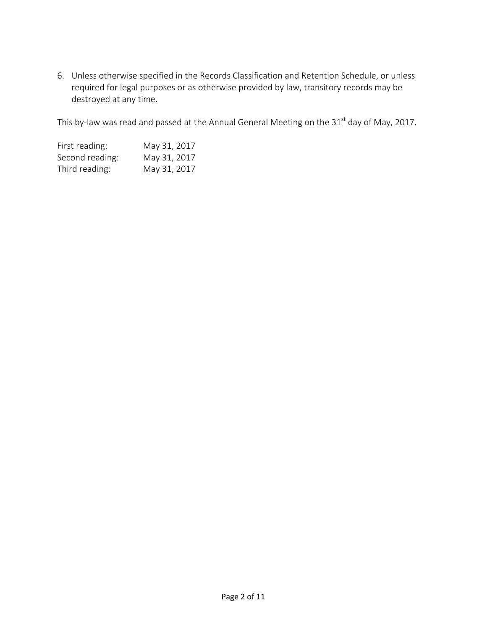6. Unless otherwise specified in the Records Classification and Retention Schedule, or unless required for legal purposes or as otherwise provided by law, transitory records may be destroyed at any time.

This by-law was read and passed at the Annual General Meeting on the  $31<sup>st</sup>$  day of May, 2017.

| First reading:  | May 31, 2017 |
|-----------------|--------------|
| Second reading: | May 31, 2017 |
| Third reading:  | May 31, 2017 |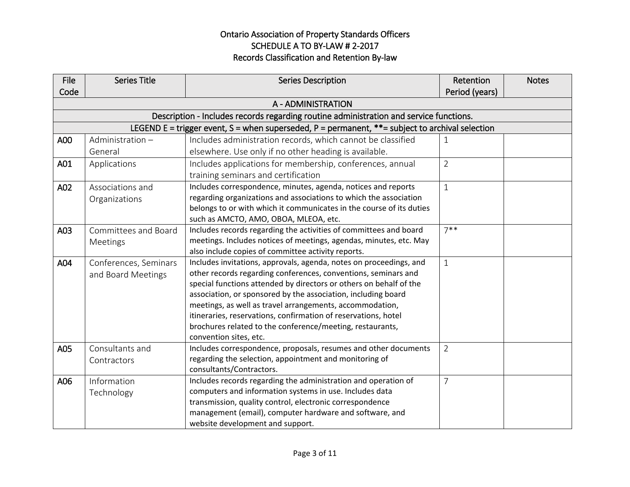| <b>File</b> | <b>Series Title</b>   | <b>Series Description</b>                                                                                                | Retention      | <b>Notes</b> |
|-------------|-----------------------|--------------------------------------------------------------------------------------------------------------------------|----------------|--------------|
| Code        |                       |                                                                                                                          | Period (years) |              |
|             |                       | A - ADMINISTRATION                                                                                                       |                |              |
|             |                       | Description - Includes records regarding routine administration and service functions.                                   |                |              |
|             |                       | LEGEND E = trigger event, S = when superseded, P = permanent, $**$ = subject to archival selection                       |                |              |
| A00         | Administration-       | Includes administration records, which cannot be classified                                                              | 1              |              |
|             | General               | elsewhere. Use only if no other heading is available.                                                                    |                |              |
| A01         | Applications          | Includes applications for membership, conferences, annual                                                                | $\overline{2}$ |              |
|             |                       | training seminars and certification                                                                                      |                |              |
| A02         | Associations and      | Includes correspondence, minutes, agenda, notices and reports                                                            | $\mathbf{1}$   |              |
|             | Organizations         | regarding organizations and associations to which the association                                                        |                |              |
|             |                       | belongs to or with which it communicates in the course of its duties                                                     |                |              |
|             |                       | such as AMCTO, AMO, OBOA, MLEOA, etc.                                                                                    |                |              |
| A03         | Committees and Board  | Includes records regarding the activities of committees and board                                                        | $7***$         |              |
|             | Meetings              | meetings. Includes notices of meetings, agendas, minutes, etc. May<br>also include copies of committee activity reports. |                |              |
| A04         | Conferences, Seminars | Includes invitations, approvals, agenda, notes on proceedings, and                                                       | $\mathbf{1}$   |              |
|             | and Board Meetings    | other records regarding conferences, conventions, seminars and                                                           |                |              |
|             |                       | special functions attended by directors or others on behalf of the                                                       |                |              |
|             |                       | association, or sponsored by the association, including board                                                            |                |              |
|             |                       | meetings, as well as travel arrangements, accommodation,                                                                 |                |              |
|             |                       | itineraries, reservations, confirmation of reservations, hotel                                                           |                |              |
|             |                       | brochures related to the conference/meeting, restaurants,                                                                |                |              |
|             |                       | convention sites, etc.                                                                                                   |                |              |
| A05         | Consultants and       | Includes correspondence, proposals, resumes and other documents                                                          | $\overline{2}$ |              |
|             | Contractors           | regarding the selection, appointment and monitoring of                                                                   |                |              |
| A06         | Information           | consultants/Contractors.<br>Includes records regarding the administration and operation of                               | $\overline{7}$ |              |
|             |                       | computers and information systems in use. Includes data                                                                  |                |              |
|             | Technology            | transmission, quality control, electronic correspondence                                                                 |                |              |
|             |                       | management (email), computer hardware and software, and                                                                  |                |              |
|             |                       | website development and support.                                                                                         |                |              |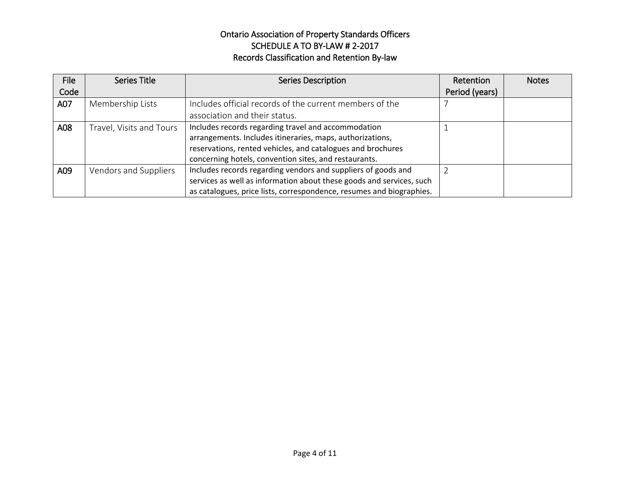| File | Series Title             | <b>Series Description</b>                                            | Retention      | <b>Notes</b> |
|------|--------------------------|----------------------------------------------------------------------|----------------|--------------|
| Code |                          |                                                                      | Period (years) |              |
| A07  | Membership Lists         | Includes official records of the current members of the              |                |              |
|      |                          | association and their status.                                        |                |              |
| A08  | Travel, Visits and Tours | Includes records regarding travel and accommodation                  |                |              |
|      |                          | arrangements. Includes itineraries, maps, authorizations,            |                |              |
|      |                          | reservations, rented vehicles, and catalogues and brochures          |                |              |
|      |                          | concerning hotels, convention sites, and restaurants.                |                |              |
| A09  | Vendors and Suppliers    | Includes records regarding vendors and suppliers of goods and        |                |              |
|      |                          | services as well as information about these goods and services, such |                |              |
|      |                          | as catalogues, price lists, correspondence, resumes and biographies. |                |              |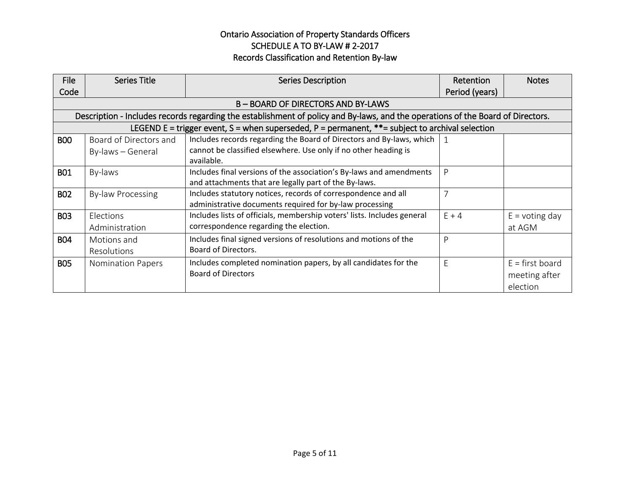| File       | <b>Series Title</b>      | <b>Series Description</b>                                                                                                       | Retention      | <b>Notes</b>      |
|------------|--------------------------|---------------------------------------------------------------------------------------------------------------------------------|----------------|-------------------|
| Code       |                          |                                                                                                                                 | Period (years) |                   |
|            |                          | B – BOARD OF DIRECTORS AND BY-LAWS                                                                                              |                |                   |
|            |                          | Description - Includes records regarding the establishment of policy and By-laws, and the operations of the Board of Directors. |                |                   |
|            |                          | LEGEND E = trigger event, S = when superseded, P = permanent, **= subject to archival selection                                 |                |                   |
| <b>BOO</b> | Board of Directors and   | Includes records regarding the Board of Directors and By-laws, which                                                            | $\overline{1}$ |                   |
|            | By-laws - General        | cannot be classified elsewhere. Use only if no other heading is                                                                 |                |                   |
|            |                          | available.                                                                                                                      |                |                   |
| <b>B01</b> | By-laws                  | Includes final versions of the association's By-laws and amendments                                                             | P              |                   |
|            |                          | and attachments that are legally part of the By-laws.                                                                           |                |                   |
| <b>BO2</b> | By-law Processing        | Includes statutory notices, records of correspondence and all                                                                   | $\overline{7}$ |                   |
|            |                          | administrative documents required for by-law processing                                                                         |                |                   |
| <b>BO3</b> | Elections                | Includes lists of officials, membership voters' lists. Includes general                                                         | $E + 4$        | $E =$ voting day  |
|            | Administration           | correspondence regarding the election.                                                                                          |                | at AGM            |
| <b>B04</b> | Motions and              | Includes final signed versions of resolutions and motions of the                                                                | P              |                   |
|            | Resolutions              | Board of Directors.                                                                                                             |                |                   |
| <b>BO5</b> | <b>Nomination Papers</b> | Includes completed nomination papers, by all candidates for the                                                                 | E              | $E = first board$ |
|            |                          | <b>Board of Directors</b>                                                                                                       |                | meeting after     |
|            |                          |                                                                                                                                 |                | election          |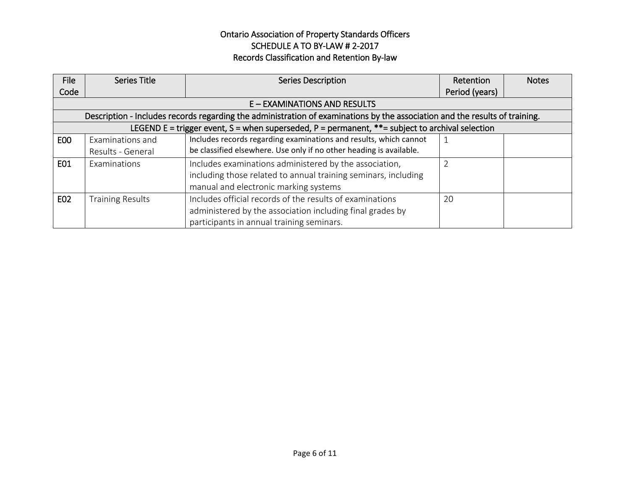| File            | <b>Series Title</b>     | <b>Series Description</b>                                                                                                   | Retention      | <b>Notes</b> |
|-----------------|-------------------------|-----------------------------------------------------------------------------------------------------------------------------|----------------|--------------|
| Code            |                         |                                                                                                                             | Period (years) |              |
|                 |                         | E - EXAMINATIONS AND RESULTS                                                                                                |                |              |
|                 |                         | Description - Includes records regarding the administration of examinations by the association and the results of training. |                |              |
|                 |                         | LEGEND E = trigger event, S = when superseded, P = permanent, **= subject to archival selection                             |                |              |
| EO <sub>O</sub> | Examinations and        | Includes records regarding examinations and results, which cannot                                                           |                |              |
|                 | Results - General       | be classified elsewhere. Use only if no other heading is available.                                                         |                |              |
| E01             | Examinations            | Includes examinations administered by the association,                                                                      |                |              |
|                 |                         | including those related to annual training seminars, including                                                              |                |              |
|                 |                         | manual and electronic marking systems                                                                                       |                |              |
| E02             | <b>Training Results</b> | Includes official records of the results of examinations                                                                    | 20             |              |
|                 |                         | administered by the association including final grades by                                                                   |                |              |
|                 |                         | participants in annual training seminars.                                                                                   |                |              |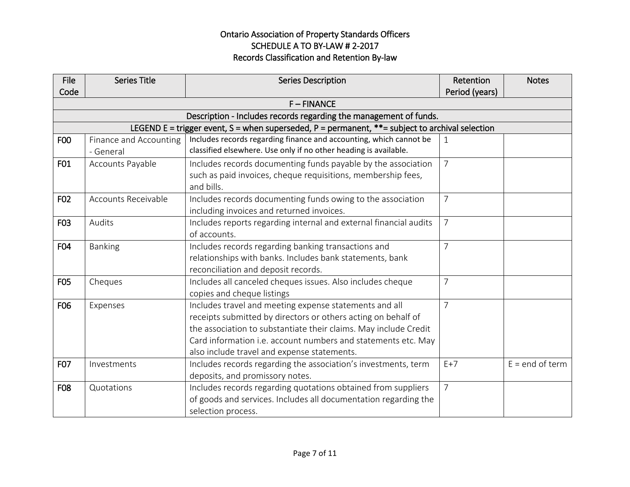| <b>File</b> | <b>Series Title</b>    | <b>Series Description</b>                                                                          | Retention      | <b>Notes</b>      |
|-------------|------------------------|----------------------------------------------------------------------------------------------------|----------------|-------------------|
| Code        |                        |                                                                                                    | Period (years) |                   |
|             |                        | $F - FINANCE$                                                                                      |                |                   |
|             |                        | Description - Includes records regarding the management of funds.                                  |                |                   |
|             |                        | LEGEND E = trigger event, S = when superseded, P = permanent, $**$ = subject to archival selection |                |                   |
| F00         | Finance and Accounting | Includes records regarding finance and accounting, which cannot be                                 | $\mathbf{1}$   |                   |
|             | - General              | classified elsewhere. Use only if no other heading is available.                                   |                |                   |
| F01         | Accounts Payable       | Includes records documenting funds payable by the association                                      | $\overline{7}$ |                   |
|             |                        | such as paid invoices, cheque requisitions, membership fees,                                       |                |                   |
|             |                        | and bills.                                                                                         |                |                   |
| F02         | Accounts Receivable    | Includes records documenting funds owing to the association                                        | $\overline{7}$ |                   |
|             |                        | including invoices and returned invoices.                                                          |                |                   |
| F03         | Audits                 | Includes reports regarding internal and external financial audits                                  | $\overline{7}$ |                   |
|             |                        | of accounts.                                                                                       |                |                   |
| F04         | <b>Banking</b>         | Includes records regarding banking transactions and                                                | $\overline{7}$ |                   |
|             |                        | relationships with banks. Includes bank statements, bank                                           |                |                   |
|             |                        | reconciliation and deposit records.                                                                |                |                   |
| F05         | Cheques                | Includes all canceled cheques issues. Also includes cheque                                         | 7              |                   |
|             |                        | copies and cheque listings                                                                         |                |                   |
| F06         | Expenses               | Includes travel and meeting expense statements and all                                             | $\overline{7}$ |                   |
|             |                        | receipts submitted by directors or others acting on behalf of                                      |                |                   |
|             |                        | the association to substantiate their claims. May include Credit                                   |                |                   |
|             |                        | Card information i.e. account numbers and statements etc. May                                      |                |                   |
|             |                        | also include travel and expense statements.                                                        |                |                   |
| F07         | Investments            | Includes records regarding the association's investments, term                                     | $E+7$          | $E = end of term$ |
|             |                        | deposits, and promissory notes.                                                                    |                |                   |
| F08         | Quotations             | Includes records regarding quotations obtained from suppliers                                      | $\overline{7}$ |                   |
|             |                        | of goods and services. Includes all documentation regarding the                                    |                |                   |
|             |                        | selection process.                                                                                 |                |                   |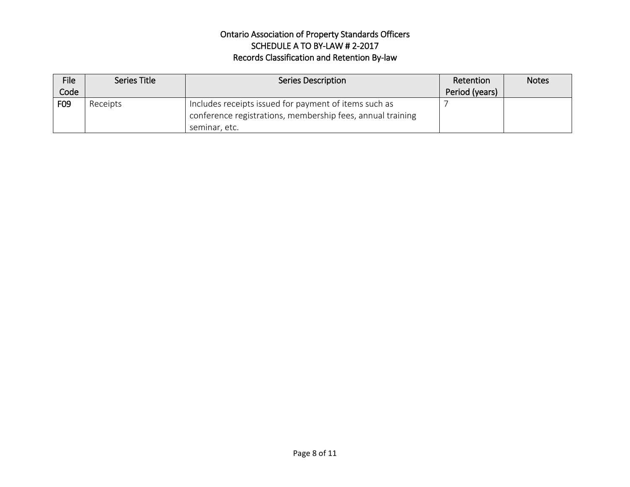| <b>File</b> | Series Title | <b>Series Description</b>                                  | Retention      | Notes |
|-------------|--------------|------------------------------------------------------------|----------------|-------|
| Code        |              |                                                            | Period (years) |       |
| F09         | Receipts     | Includes receipts issued for payment of items such as      |                |       |
|             |              | conference registrations, membership fees, annual training |                |       |
|             |              | seminar, etc.                                              |                |       |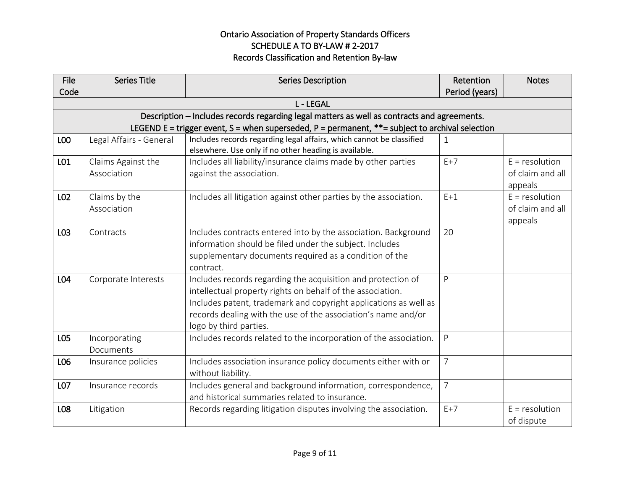| <b>File</b> | <b>Series Title</b>               | <b>Series Description</b>                                                                                                                                                                                                                                                                 | Retention      | <b>Notes</b>                                    |
|-------------|-----------------------------------|-------------------------------------------------------------------------------------------------------------------------------------------------------------------------------------------------------------------------------------------------------------------------------------------|----------------|-------------------------------------------------|
| Code        |                                   |                                                                                                                                                                                                                                                                                           | Period (years) |                                                 |
|             |                                   | <b>L-LEGAL</b>                                                                                                                                                                                                                                                                            |                |                                                 |
|             |                                   | Description - Includes records regarding legal matters as well as contracts and agreements.                                                                                                                                                                                               |                |                                                 |
|             |                                   | LEGEND E = trigger event, S = when superseded, P = permanent, $**$ = subject to archival selection                                                                                                                                                                                        |                |                                                 |
| L00         | Legal Affairs - General           | Includes records regarding legal affairs, which cannot be classified<br>elsewhere. Use only if no other heading is available.                                                                                                                                                             | $\mathbf 1$    |                                                 |
| L01         | Claims Against the<br>Association | Includes all liability/insurance claims made by other parties<br>against the association.                                                                                                                                                                                                 | $E+7$          | $E =$ resolution<br>of claim and all<br>appeals |
| L02         | Claims by the<br>Association      | Includes all litigation against other parties by the association.                                                                                                                                                                                                                         | $E+1$          | $E = resolution$<br>of claim and all<br>appeals |
| L03         | Contracts                         | Includes contracts entered into by the association. Background<br>information should be filed under the subject. Includes<br>supplementary documents required as a condition of the<br>contract.                                                                                          | 20             |                                                 |
| L04         | Corporate Interests               | Includes records regarding the acquisition and protection of<br>intellectual property rights on behalf of the association.<br>Includes patent, trademark and copyright applications as well as<br>records dealing with the use of the association's name and/or<br>logo by third parties. | P              |                                                 |
| L05         | Incorporating<br>Documents        | Includes records related to the incorporation of the association.                                                                                                                                                                                                                         | P              |                                                 |
| L06         | Insurance policies                | Includes association insurance policy documents either with or<br>without liability.                                                                                                                                                                                                      | $\overline{7}$ |                                                 |
| L07         | Insurance records                 | Includes general and background information, correspondence,<br>and historical summaries related to insurance.                                                                                                                                                                            | $\overline{7}$ |                                                 |
| L08         | Litigation                        | Records regarding litigation disputes involving the association.                                                                                                                                                                                                                          | $E+7$          | $E = resolution$<br>of dispute                  |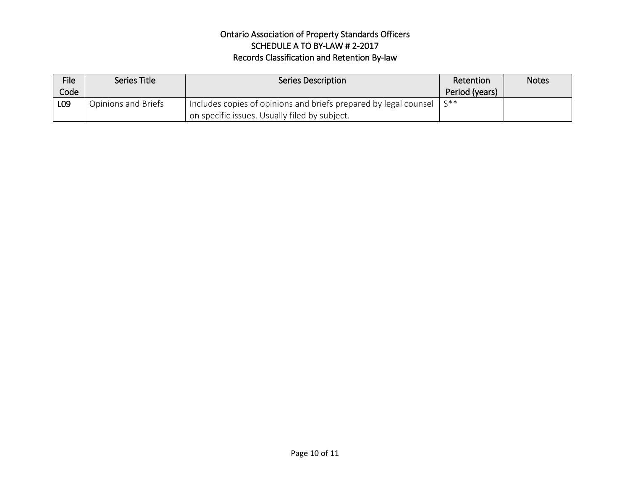| <b>File</b>     | Series Title        | <b>Series Description</b>                                        | Retention      | <b>Notes</b> |
|-----------------|---------------------|------------------------------------------------------------------|----------------|--------------|
| Code            |                     |                                                                  | Period (years) |              |
| L <sub>09</sub> | Opinions and Briefs | Includes copies of opinions and briefs prepared by legal counsel | $\varsigma$ ** |              |
|                 |                     | on specific issues. Usually filed by subject.                    |                |              |